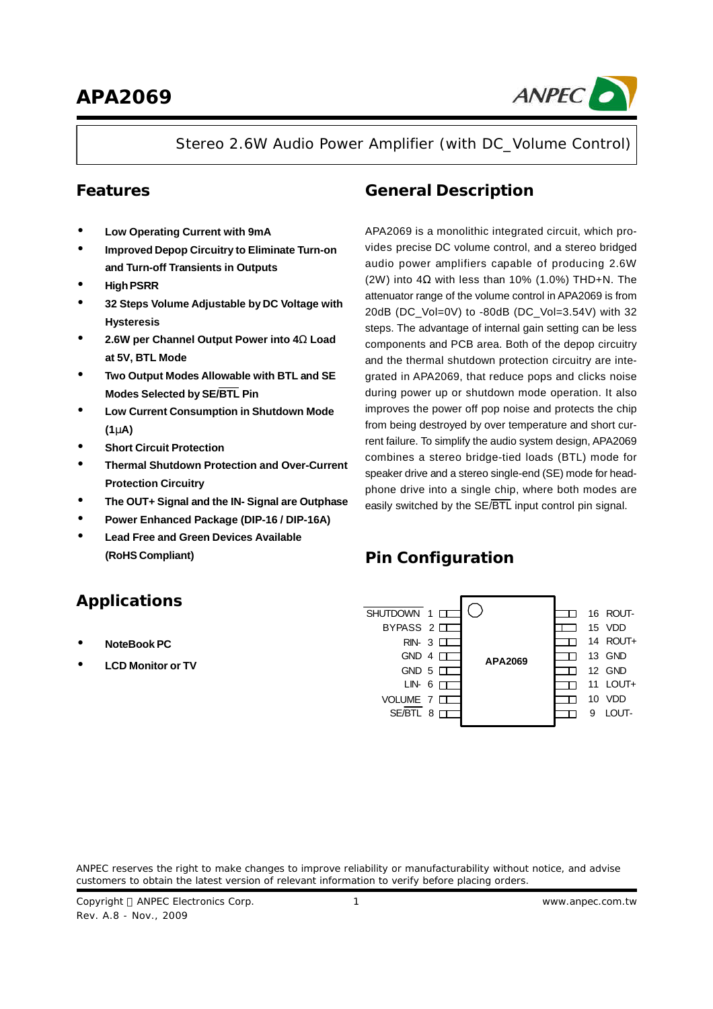

Stereo 2.6W Audio Power Amplifier (with DC\_Volume Control)

### **Features**

- **· Low Operating Current with 9mA**
- **· Improved Depop Circuitry to Eliminate Turn-on and Turn-off Transients in Outputs**
- **· HighPSRR**
- **· 32 Steps Volume Adjustable by DC Voltage with Hysteresis**
- **· 2.6W per Channel Output Power into 4W Load at 5V, BTL Mode**
- **· Two Output Modes Allowable with BTL and SE Modes Selected by SE/BTL Pin**
- **· Low Current Consumption in Shutdown Mode (1mA)**
- **· Short Circuit Protection**
- **· Thermal Shutdown Protection and Over-Current Protection Circuitry**
- **· The OUT+ Signal and the IN- Signal are Outphase**
- **· Power Enhanced Package (DIP-16 / DIP-16A)**
- **· Lead Free and Green Devices Available (RoHS Compliant)**

# **General Description**

APA2069 is a monolithic integrated circuit, which provides precise DC volume control, and a stereo bridged audio power amplifiers capable of producing 2.6W (2W) into 4Ω with less than 10% (1.0%) THD+N. The attenuator range of the volume control in APA2069 is from 20dB (DC\_Vol=0V) to -80dB (DC\_Vol=3.54V) with 32 steps. The advantage of internal gain setting can be less components and PCB area. Both of the depop circuitry and the thermal shutdown protection circuitry are integrated in APA2069, that reduce pops and clicks noise during power up or shutdown mode operation. It also improves the power off pop noise and protects the chip from being destroyed by over temperature and short current failure. To simplify the audio system design, APA2069 combines a stereo bridge-tied loads (BTL) mode for speaker drive and a stereo single-end (SE) mode for headphone drive into a single chip, where both modes are easily switched by the SE/BTL input control pin signal.

# **Pin Configuration**

# **Applications**

- **· NoteBook PC**
- **· LCD Monitor or TV**



ANPEC reserves the right to make changes to improve reliability or manufacturability without notice, and advise customers to obtain the latest version of relevant information to verify before placing orders.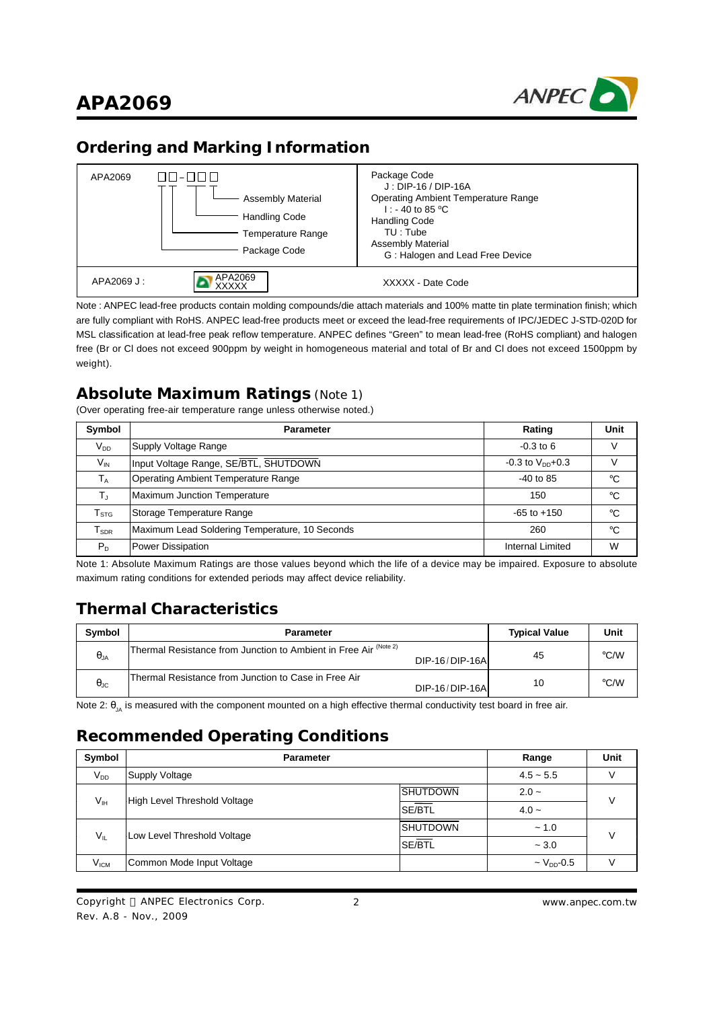



### **Ordering and Marking Information**

| APA2069    | ПП-ППП<br><b>Assembly Material</b><br><b>Handling Code</b><br>Temperature Range<br>Package Code | Package Code<br>$J: DIP-16 / DIP-16A$<br><b>Operating Ambient Temperature Range</b><br>$1: -40$ to 85 °C<br><b>Handling Code</b><br>$TU:$ Tube<br><b>Assembly Material</b><br>G: Halogen and Lead Free Device |
|------------|-------------------------------------------------------------------------------------------------|---------------------------------------------------------------------------------------------------------------------------------------------------------------------------------------------------------------|
| APA2069 J: | APA2069<br>XXXXX                                                                                | XXXXX - Date Code                                                                                                                                                                                             |

Note : ANPEC lead-free products contain molding compounds/die attach materials and 100% matte tin plate termination finish; which are fully compliant with RoHS. ANPEC lead-free products meet or exceed the lead-free requirements of IPC/JEDEC J-STD-020D for MSL classification at lead-free peak reflow temperature. ANPEC defines "Green" to mean lead-free (RoHS compliant) and halogen free (Br or Cl does not exceed 900ppm by weight in homogeneous material and total of Br and Cl does not exceed 1500ppm by weight).

### **Absolute Maximum Ratings** (Note 1)

(Over operating free-air temperature range unless otherwise noted.)

| Symbol                      | <b>Parameter</b>                               | Rating                 | Unit        |
|-----------------------------|------------------------------------------------|------------------------|-------------|
| $V_{DD}$                    | Supply Voltage Range                           | $-0.3$ to 6            | V           |
| $V_{\text{IN}}$             | Input Voltage Range, SE/BTL, SHUTDOWN          | $-0.3$ to $V_{DD}+0.3$ |             |
| $\mathsf{T}_\mathsf{A}$     | <b>Operating Ambient Temperature Range</b>     | $-40$ to 85            | $^{\circ}C$ |
| T,                          | Maximum Junction Temperature                   | 150                    | $^{\circ}C$ |
| $\mathsf{T}_{\texttt{STG}}$ | Storage Temperature Range                      | $-65$ to $+150$        | $^{\circ}C$ |
| $T_{\scriptsize\text{SDR}}$ | Maximum Lead Soldering Temperature, 10 Seconds | 260                    | $^{\circ}C$ |
| $P_D$                       | <b>Power Dissipation</b>                       | Internal Limited       | W           |

Note 1: Absolute Maximum Ratings are those values beyond which the life of a device may be impaired. Exposure to absolute maximum rating conditions for extended periods may affect device reliability.

## **Thermal Characteristics**

| <b>Symbol</b>        | <b>Parameter</b>                                                             |                 | <b>Typical Value</b> | Unit               |
|----------------------|------------------------------------------------------------------------------|-----------------|----------------------|--------------------|
| $\theta$ JA          | 'Thermal Resistance from Junction to Ambient in Free Air <sup>(Note 2)</sup> | DIP-16/DIP-16A  | 45                   | $\rm ^{\circ}$ C/W |
| $\theta_{\text{JC}}$ | Thermal Resistance from Junction to Case in Free Air                         | DIP-16/DIP-16AL | 10                   | $\rm ^{\circ}$ C/W |

Note 2:  $\theta_{\rm JA}$  is measured with the component mounted on a high effective thermal conductivity test board in free air.

### **Recommended Operating Conditions**

| Symbol           | <b>Parameter</b>             | Range           | Unit                        |              |  |
|------------------|------------------------------|-----------------|-----------------------------|--------------|--|
| $V_{DD}$         | <b>Supply Voltage</b>        |                 | $4.5 - 5.5$                 |              |  |
|                  | High Level Threshold Voltage | <b>SHUTDOWN</b> | $2.0 -$                     | $\mathsf{V}$ |  |
| $V_{IH}$         | SE/BTL                       |                 | $4.0 -$                     |              |  |
| $V_{IL}$         |                              | ISHUTDOWN       | ~1.0                        | $\mathsf{V}$ |  |
|                  | Low Level Threshold Voltage  | SE/BTL          | $-3.0$                      |              |  |
| V <sub>ICM</sub> | Common Mode Input Voltage    |                 | $\sim$ V <sub>DD</sub> -0.5 |              |  |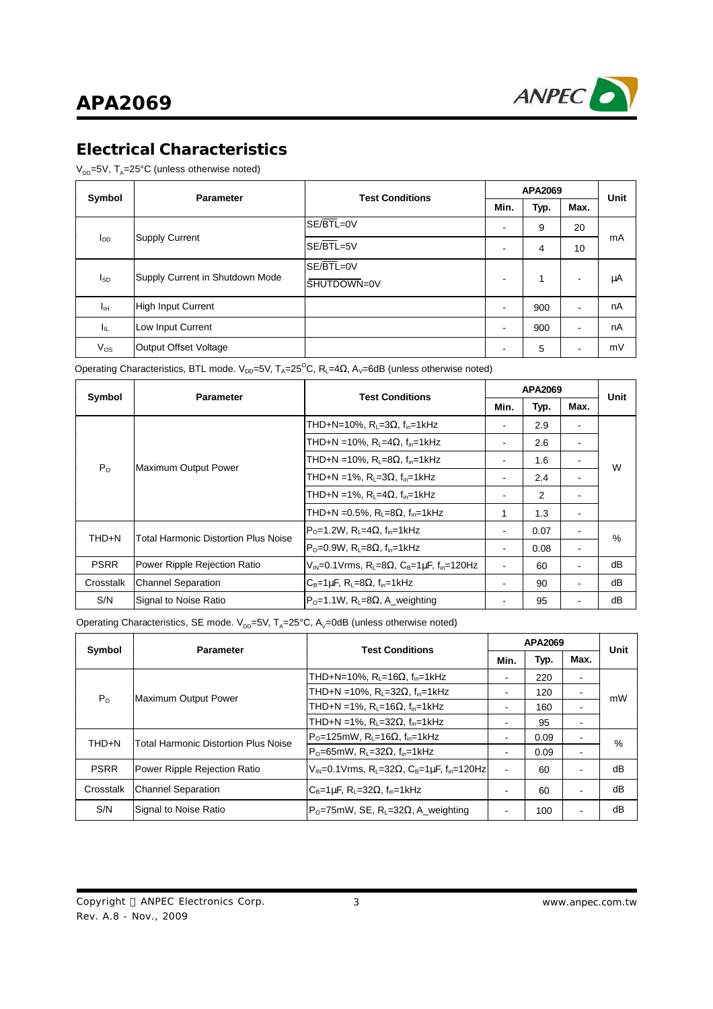

# **Electrical Characteristics**

 $\rm V_{\scriptscriptstyle DD}$ =5V, T<sub>A</sub>=25°C (unless otherwise noted)

| Symbol          | <b>Parameter</b>                | <b>Test Conditions</b> | APA2069                  |      |      | Unit |
|-----------------|---------------------------------|------------------------|--------------------------|------|------|------|
|                 |                                 |                        | Min.                     | Typ. | Max. |      |
|                 |                                 | SE/BTL=0V              | ٠                        | 9    | 20   |      |
| l <sub>DD</sub> | <b>Supply Current</b>           | SE/BTL=5V              | ٠                        | 4    | 10   | mA   |
|                 |                                 | $SE/BTL=0V$            |                          |      |      |      |
| I <sub>SD</sub> | Supply Current in Shutdown Mode | SHUTDOWN=0V            | $\overline{\phantom{0}}$ | 1    | -    | μA   |
| Ιш              | <b>High Input Current</b>       |                        | -                        | 900  |      | nA   |
| Чı              | Low Input Current               |                        |                          | 900  |      | nA   |
| $V_{OS}$        | Output Offset Voltage           |                        |                          | 5    |      | mV   |

Operating Characteristics, BTL mode. V<sub>DD</sub>=5V, T<sub>A</sub>=25<sup>°</sup>C, R<sub>L</sub>=4 $\Omega$ , A<sub>V</sub>=6dB (unless otherwise noted)

| Symbol      | <b>Parameter</b>                     | <b>Test Conditions</b>                                                                         | <b>APA2069</b> |      |                          | <b>Unit</b> |  |
|-------------|--------------------------------------|------------------------------------------------------------------------------------------------|----------------|------|--------------------------|-------------|--|
|             |                                      |                                                                                                | Min.           | Typ. | Max.                     |             |  |
|             |                                      | THD+N=10%, $R_L$ =3 $\Omega$ , $f_{in}$ =1kHz                                                  |                | 2.9  | ۰                        |             |  |
|             |                                      | THD+N = 10%, R <sub>i</sub> = 4Ω, f <sub>in</sub> =1kHz                                        | ۰              | 2.6  | ۰                        |             |  |
| $P_{O}$     | Maximum Output Power                 | THD+N = 10%, R <sub>1</sub> =8Ω, f <sub>in</sub> =1kHz                                         | ۰              | 1.6  | $\blacksquare$           | W           |  |
|             |                                      | THD+N = 1%, $R_1 = 3\Omega$ , $f_{in} = 1$ kHz                                                 |                | 2.4  |                          |             |  |
|             |                                      | THD+N = 1%, $R_1 = 4\Omega$ , $f_{in} = 1$ kHz                                                 | ۰              | 2    |                          |             |  |
|             |                                      | THD+N = 0.5%, R <sub>L</sub> =8Ω, f <sub>in</sub> =1kHz                                        | 1              | 1.3  | ۰                        |             |  |
| THD+N       | Total Harmonic Distortion Plus Noise | $PO=1.2W$ , R <sub>L</sub> =4 $\Omega$ , f <sub>in</sub> =1kHz                                 |                | 0.07 |                          | $\%$        |  |
|             |                                      | $P_0 = 0.9W$ , R <sub>1</sub> = 8 $\Omega$ , f <sub>in</sub> = 1kHz                            |                | 0.08 | ۰                        |             |  |
| <b>PSRR</b> | Power Ripple Rejection Ratio         | $V_{IN} = 0.1 V$ rms, R <sub>L</sub> =8 $\Omega$ , C <sub>B</sub> =1µF, f <sub>in</sub> =120Hz | ۰              | 60   | $\blacksquare$           | dB          |  |
| Crosstalk   | <b>Channel Separation</b>            | $C_B=1\mu F$ , R <sub>L</sub> =8 $\Omega$ , f <sub>in</sub> =1kHz                              | -              | 90   | $\overline{\phantom{a}}$ | dB          |  |
| S/N         | Signal to Noise Ratio                | $P_0 = 1.1W$ , R <sub>i</sub> = 8 $\Omega$ , A weighting                                       |                | 95   |                          | dB          |  |

Operating Characteristics, SE mode.  $\mathsf{V}_{\mathsf{DD}}$ =5V, T<sub>A</sub>=25°C, A<sub>V</sub>=0dB (unless otherwise noted)

| Symbol       | <b>Parameter</b>                            | <b>Test Conditions</b>                                                                          | APA2069 |      |                          | Unit |
|--------------|---------------------------------------------|-------------------------------------------------------------------------------------------------|---------|------|--------------------------|------|
|              |                                             |                                                                                                 | Min.    | Typ. | Max.                     |      |
|              |                                             | THD+N=10%, R <sub>1</sub> =16Ω, f <sub>in</sub> =1kHz                                           | -       | 220  | $\overline{\phantom{a}}$ |      |
| $P_{\Omega}$ | Maximum Output Power                        | THD+N = 10%, R <sub>1</sub> =32Ω, f <sub>in</sub> =1kHz                                         |         | 120  |                          | mW   |
|              |                                             | THD+N = 1%, R <sub>L</sub> =16Ω, f <sub>in</sub> =1kHz                                          | 160     |      |                          |      |
|              |                                             | THD+N = 1%, R <sub>1</sub> =32Ω, f <sub>in</sub> =1kHz                                          |         | 95   |                          |      |
| THD+N        | <b>Total Harmonic Distortion Plus Noise</b> | $P_0$ =125mW, R <sub>1</sub> =16Ω, f <sub>in</sub> =1kHz                                        |         | 0.09 |                          | %    |
|              |                                             | $P_0 = 65$ mW, R <sub>L</sub> =32 $\Omega$ , f <sub>in</sub> =1kHz                              |         | 0.09 | $\overline{\phantom{0}}$ |      |
| <b>PSRR</b>  | Power Ripple Rejection Ratio                | $V_{IN} = 0.1 V$ rms, R <sub>L</sub> =32 $\Omega$ , C <sub>B</sub> =1µF, f <sub>in</sub> =120Hz | ۰       | 60   |                          | dB   |
| Crosstalk    | <b>Channel Separation</b>                   | $C_B=1\mu F$ , R <sub>L</sub> =32 $\Omega$ , f <sub>in</sub> =1kHz                              |         | 60   |                          | dB   |
| S/N          | Signal to Noise Ratio                       | $ P_{0}=75$ mW, SE, R <sub>i</sub> =32 $\Omega$ , A weighting                                   |         | 100  |                          | dB   |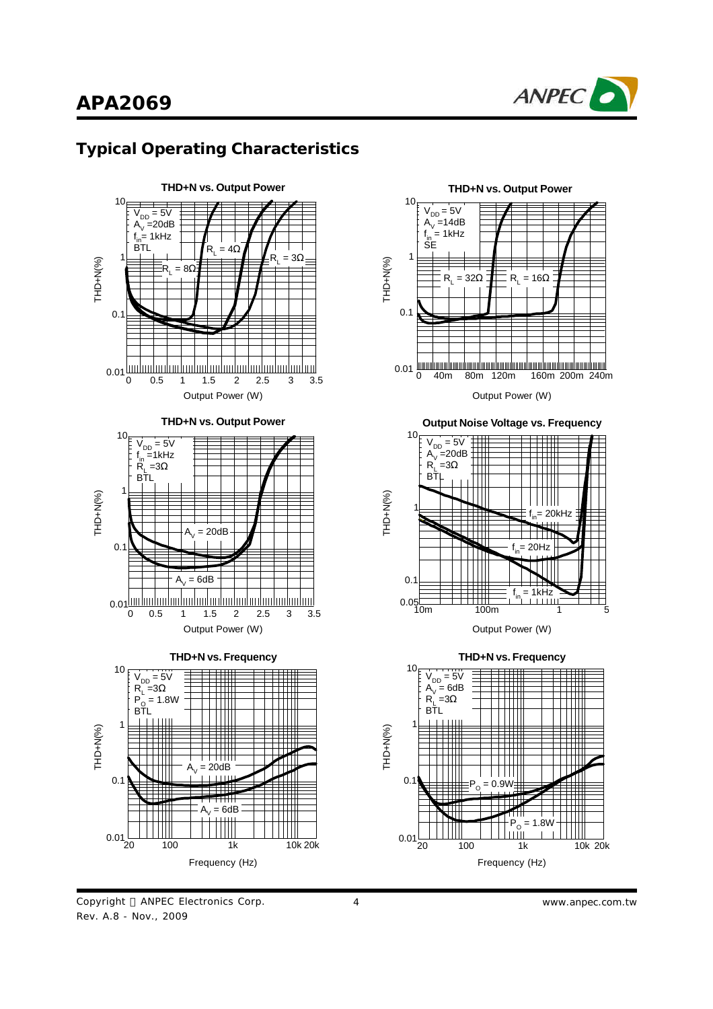

### **Typical Operating Characteristics**



Copyright © ANPEC Electronics Corp. Rev. A.8 - Nov., 2009



4 *www.anpec.com.tw*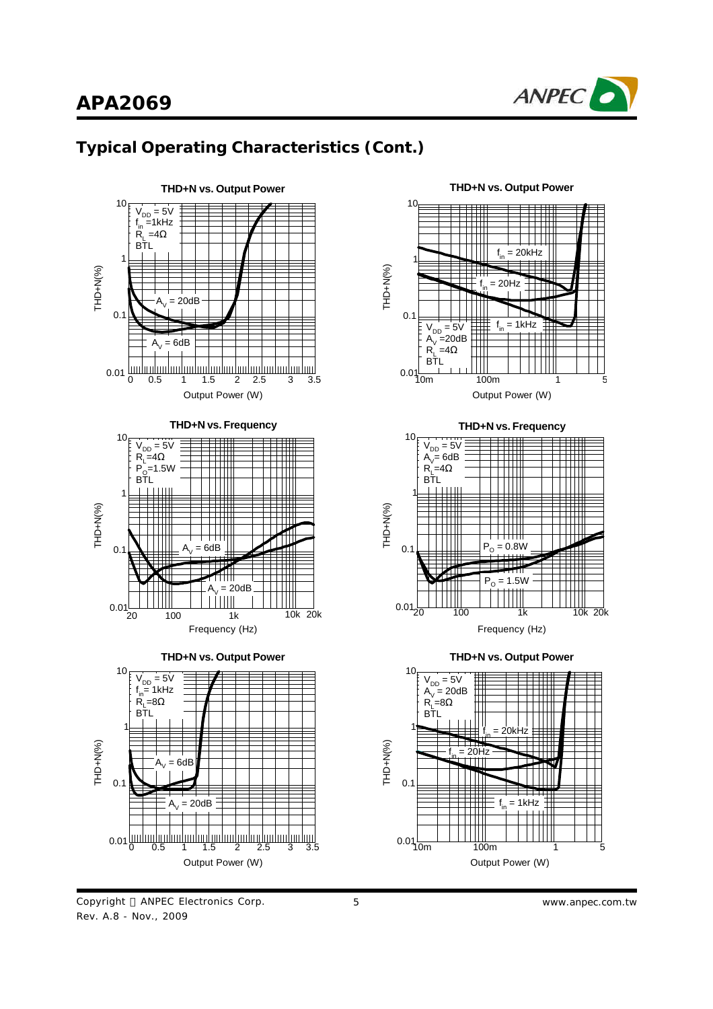

# **Typical Operating Characteristics (Cont.)**







Copyright © ANPEC Electronics Corp. Rev. A.8 - Nov., 2009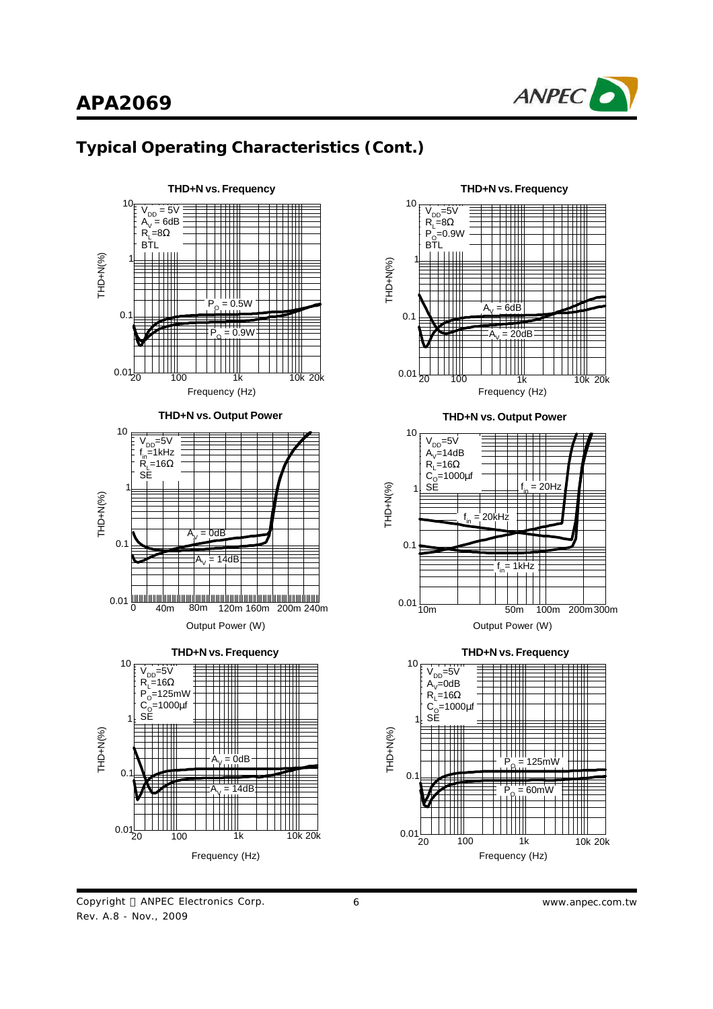





Copyright © ANPEC Electronics Corp. Rev. A.8 - Nov., 2009

6 *www.anpec.com.tw*

וורד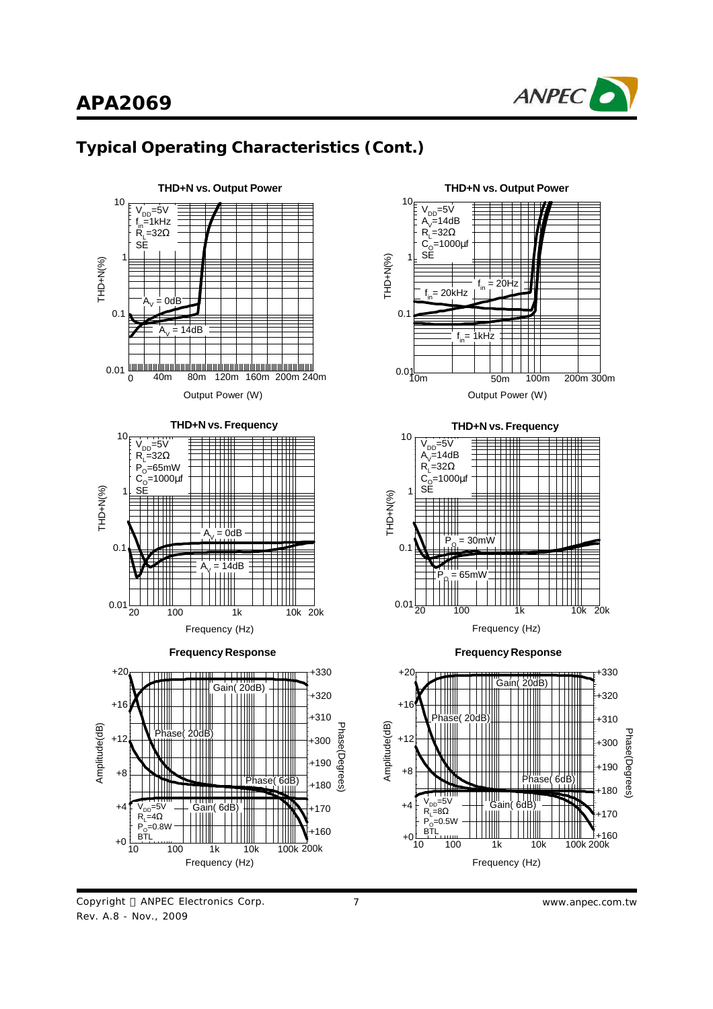

# **Typical Operating Characteristics (Cont.)**



Copyright © ANPEC Electronics Corp. Rev. A.8 - Nov., 2009

7 *www.anpec.com.tw*

Phase( 6dB

Ш

Phase(Degrees)

lrees

hase(Degi

+330

ШI

Gain

+300 +310 +320

 $-170$ +180 +190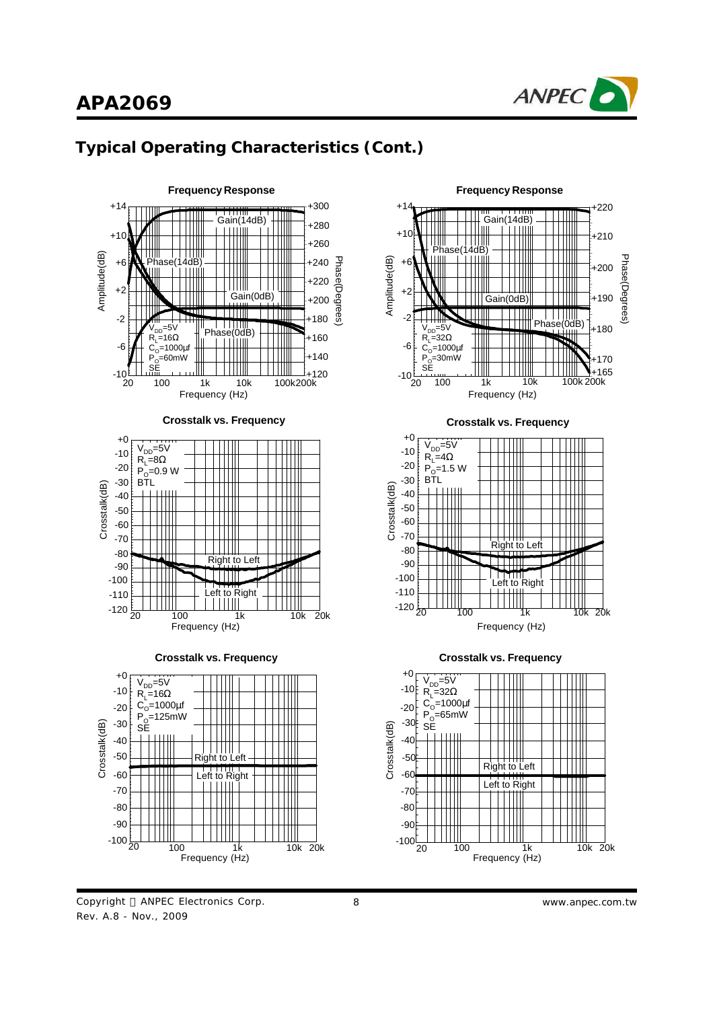



### **Typical Operating Characteristics (Cont.)**

Copyright © ANPEC Electronics Corp. Rev. A.8 - Nov., 2009

Frequency (Hz)



8 *www.anpec.com.tw*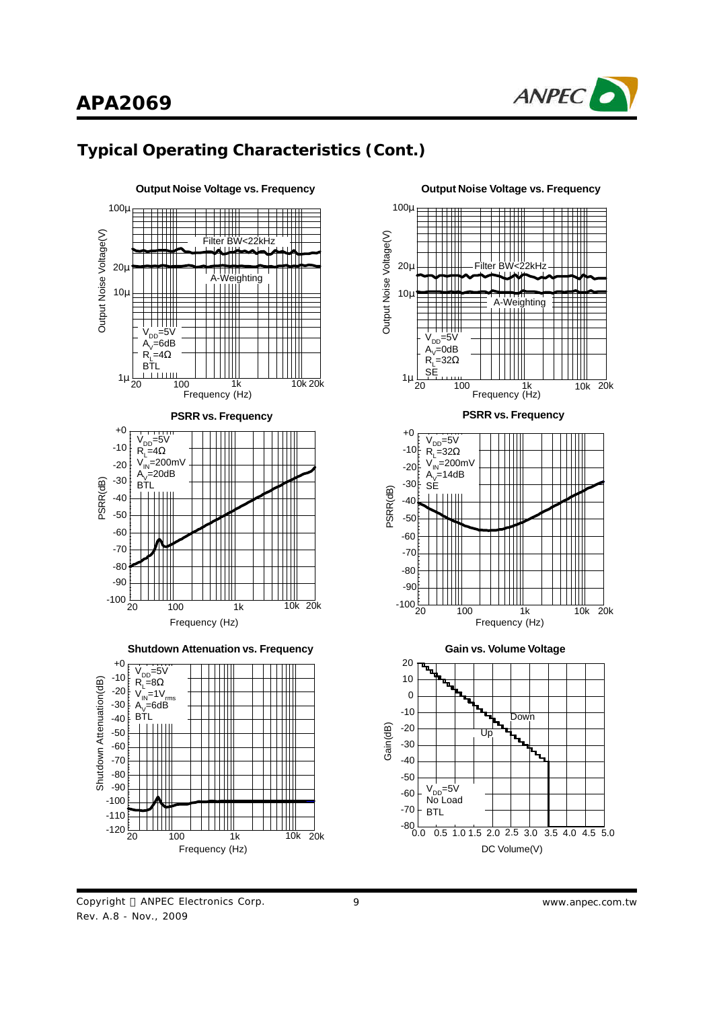

# **Typical Operating Characteristics (Cont.)**





DC Volume(V)

Copyright © ANPEC Electronics Corp. Rev. A.8 - Nov., 2009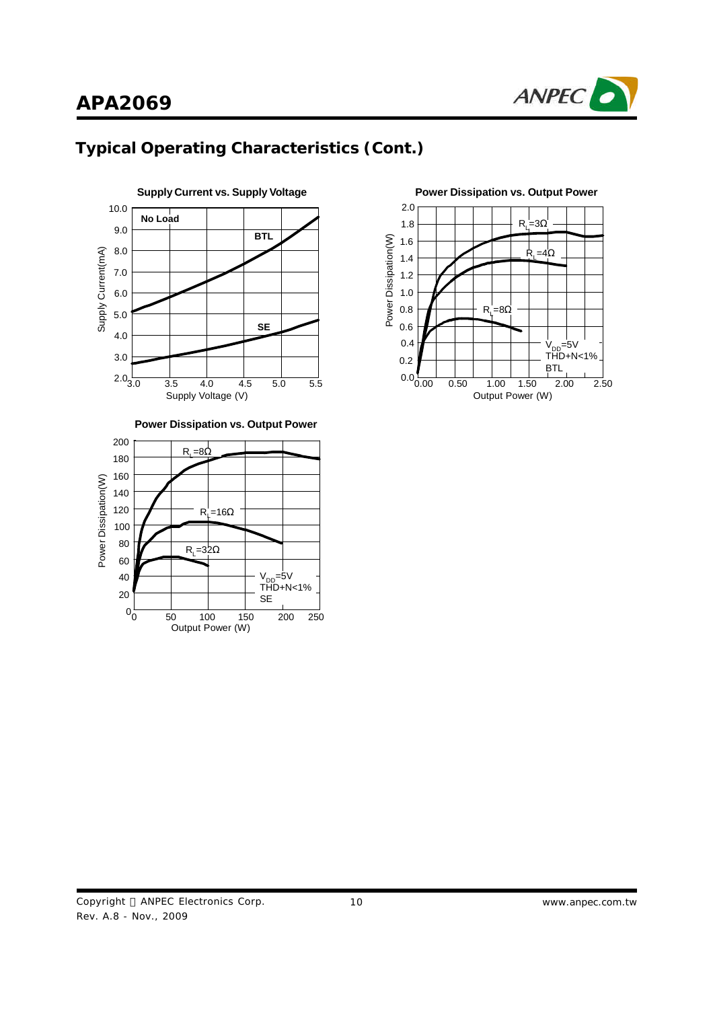





**Power Dissipation vs. Output Power**



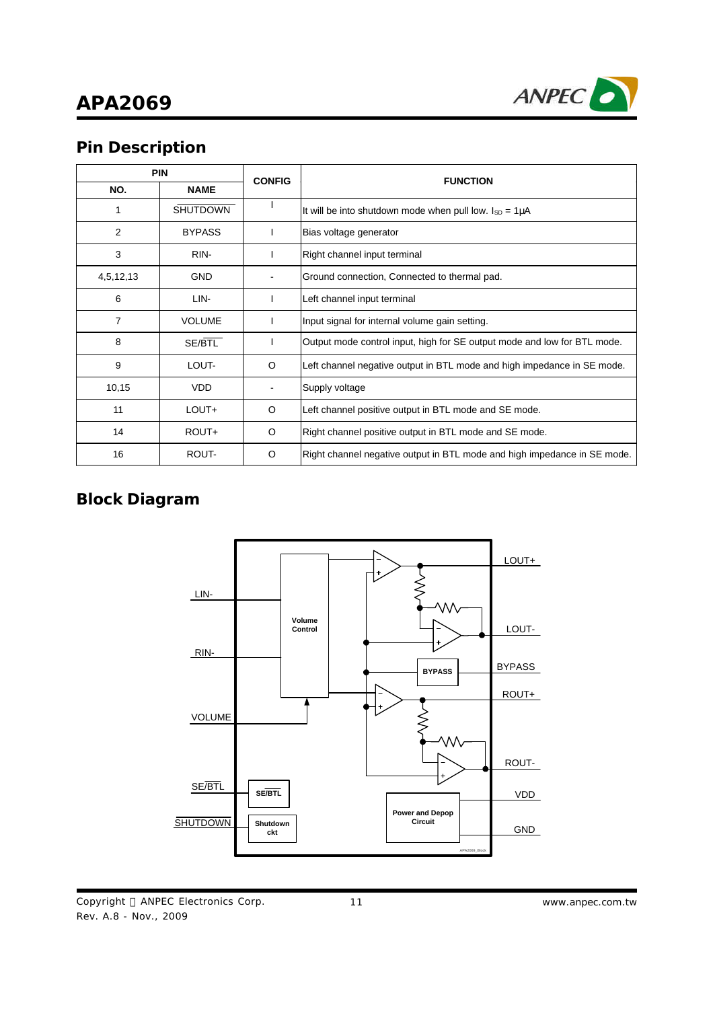

# **Pin Description**

| <b>PIN</b> |                 | <b>CONFIG</b> | <b>FUNCTION</b>                                                          |  |
|------------|-----------------|---------------|--------------------------------------------------------------------------|--|
| NO.        | <b>NAME</b>     |               |                                                                          |  |
|            | <b>SHUTDOWN</b> |               | It will be into shutdown mode when pull low. $I_{SD} = 1 \mu A$          |  |
| 2          | <b>BYPASS</b>   |               | Bias voltage generator                                                   |  |
| 3          | RIN-            |               | Right channel input terminal                                             |  |
| 4,5,12,13  | <b>GND</b>      |               | Ground connection, Connected to thermal pad.                             |  |
| 6          | LIN-            |               | Left channel input terminal                                              |  |
| 7          | <b>VOLUME</b>   |               | Input signal for internal volume gain setting.                           |  |
| 8          | SE/BTL          |               | Output mode control input, high for SE output mode and low for BTL mode. |  |
| 9          | LOUT-           | O             | Left channel negative output in BTL mode and high impedance in SE mode.  |  |
| 10,15      | <b>VDD</b>      |               | Supply voltage                                                           |  |
| 11         | LOUT+           | O             | Left channel positive output in BTL mode and SE mode.                    |  |
| 14         | ROUT+           | O             | Right channel positive output in BTL mode and SE mode.                   |  |
| 16         | ROUT-           | O             | Right channel negative output in BTL mode and high impedance in SE mode. |  |

# **Block Diagram**



Copyright © ANPEC Electronics Corp. Rev. A.8 - Nov., 2009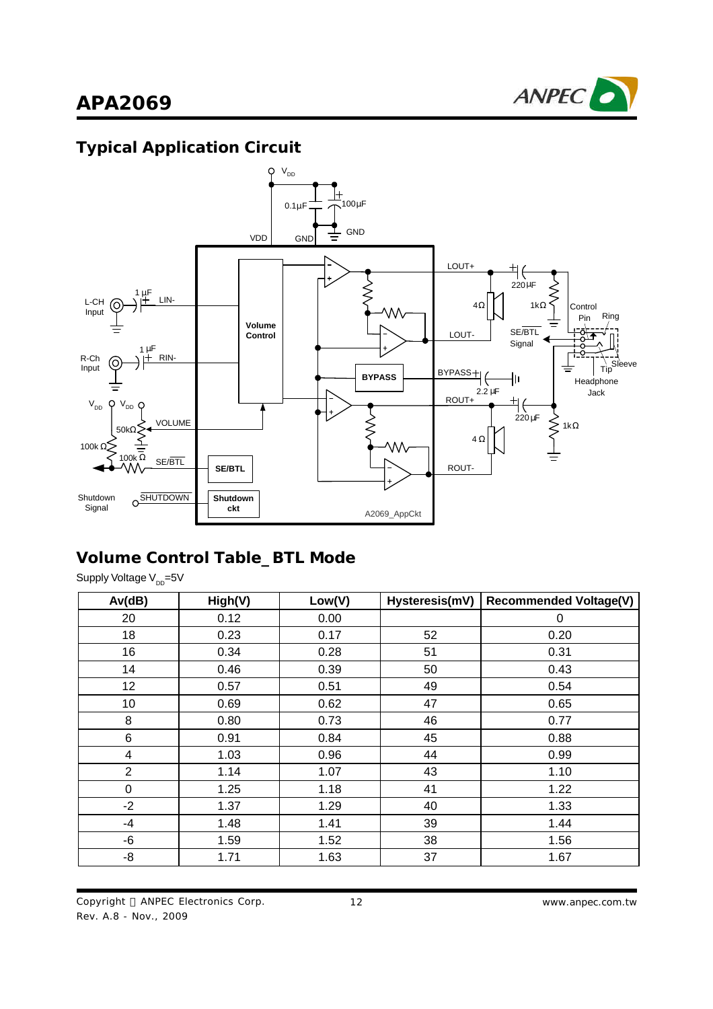

# **Typical Application Circuit**



## **Volume Control Table\_BTL Mode**

Supply Voltage V<sub>DD</sub>=5V

| Av(dB)           | High(V) | Low(V) | Hysteresis(mV) | <b>Recommended Voltage(V)</b> |
|------------------|---------|--------|----------------|-------------------------------|
| 20               | 0.12    | 0.00   |                | 0                             |
| 18               | 0.23    | 0.17   | 52             | 0.20                          |
| 16               | 0.34    | 0.28   | 51             | 0.31                          |
| 14               | 0.46    | 0.39   | 50             | 0.43                          |
| 12               | 0.57    | 0.51   | 49             | 0.54                          |
| 10               | 0.69    | 0.62   | 47             | 0.65                          |
| 8                | 0.80    | 0.73   | 46             | 0.77                          |
| 6                | 0.91    | 0.84   | 45             | 0.88                          |
| 4                | 1.03    | 0.96   | 44             | 0.99                          |
| $\overline{2}$   | 1.14    | 1.07   | 43             | 1.10                          |
| $\boldsymbol{0}$ | 1.25    | 1.18   | 41             | 1.22                          |
| $-2$             | 1.37    | 1.29   | 40             | 1.33                          |
| $-4$             | 1.48    | 1.41   | 39             | 1.44                          |
| -6               | 1.59    | 1.52   | 38             | 1.56                          |
| -8               | 1.71    | 1.63   | 37             | 1.67                          |

Copyright © ANPEC Electronics Corp. Rev. A.8 - Nov., 2009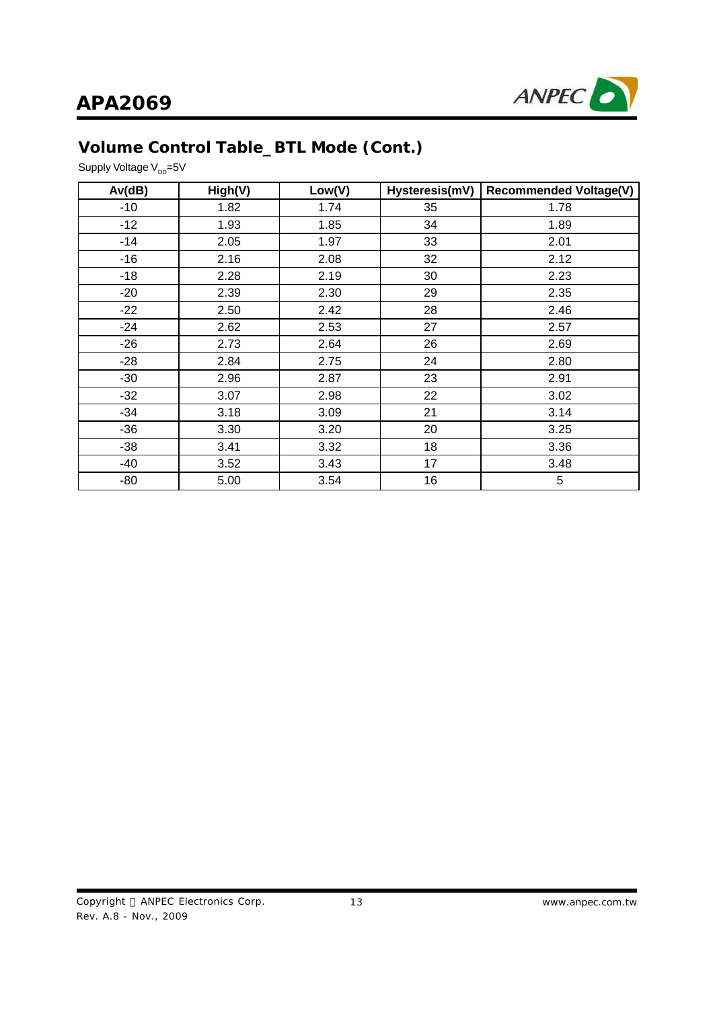

# **Volume Control Table\_BTL Mode (Cont.)**

Supply Voltage V<sub>DD</sub>=5V

| Av(dB) | High(V) | Low(V) | Hysteresis(mV) | <b>Recommended Voltage(V)</b> |
|--------|---------|--------|----------------|-------------------------------|
| $-10$  | 1.82    | 1.74   | 35             | 1.78                          |
| $-12$  | 1.93    | 1.85   | 34             | 1.89                          |
| $-14$  | 2.05    | 1.97   | 33             | 2.01                          |
| $-16$  | 2.16    | 2.08   | 32             | 2.12                          |
| $-18$  | 2.28    | 2.19   | 30             | 2.23                          |
| $-20$  | 2.39    | 2.30   | 29             | 2.35                          |
| $-22$  | 2.50    | 2.42   | 28             | 2.46                          |
| $-24$  | 2.62    | 2.53   | 27             | 2.57                          |
| $-26$  | 2.73    | 2.64   | 26             | 2.69                          |
| $-28$  | 2.84    | 2.75   | 24             | 2.80                          |
| $-30$  | 2.96    | 2.87   | 23             | 2.91                          |
| $-32$  | 3.07    | 2.98   | 22             | 3.02                          |
| $-34$  | 3.18    | 3.09   | 21             | 3.14                          |
| $-36$  | 3.30    | 3.20   | 20             | 3.25                          |
| $-38$  | 3.41    | 3.32   | 18             | 3.36                          |
| -40    | 3.52    | 3.43   | 17             | 3.48                          |
| -80    | 5.00    | 3.54   | 16             | 5                             |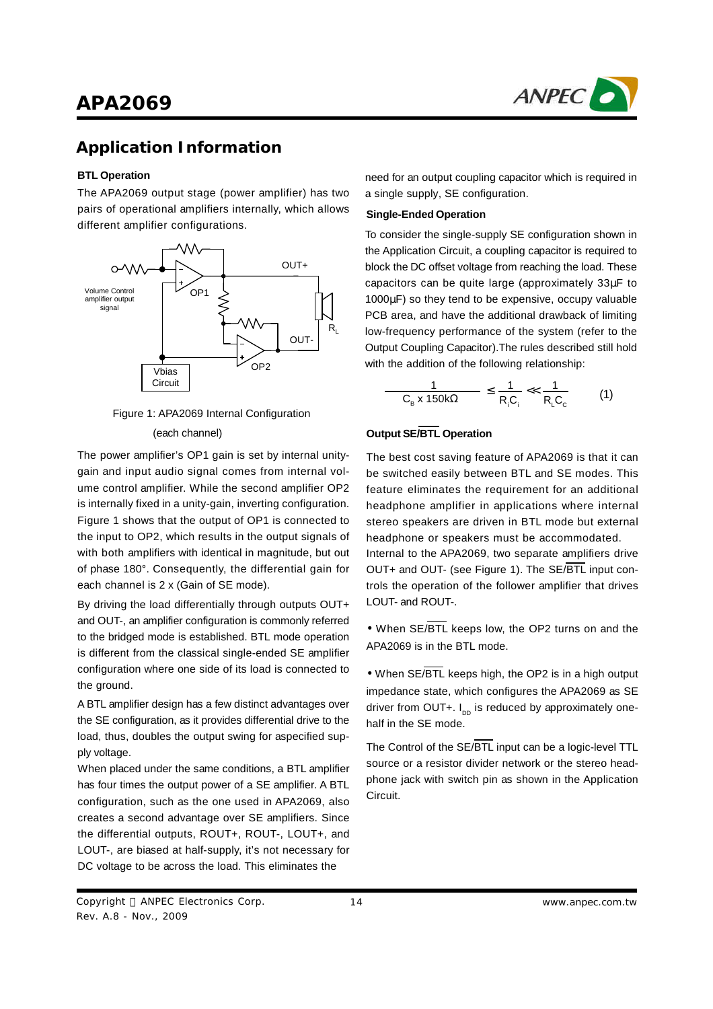

### **Application Information**

### **BTL Operation**

The APA2069 output stage (power amplifier) has two pairs of operational amplifiers internally, which allows different amplifier configurations.





The power amplifier's OP1 gain is set by internal unitygain and input audio signal comes from internal volume control amplifier. While the second amplifier OP2 is internally fixed in a unity-gain, inverting configuration. Figure 1 shows that the output of OP1 is connected to the input to OP2, which results in the output signals of with both amplifiers with identical in magnitude, but out of phase 180°. Consequently, the differential gain for each channel is 2 x (Gain of SE mode).

By driving the load differentially through outputs OUT+ and OUT-, an amplifier configuration is commonly referred to the bridged mode is established. BTL mode operation is different from the classical single-ended SE amplifier configuration where one side of its load is connected to the ground.

A BTL amplifier design has a few distinct advantages over the SE configuration, as it provides differential drive to the load, thus, doubles the output swing for aspecified supply voltage.

When placed under the same conditions, a BTL amplifier has four times the output power of a SE amplifier. A BTL configuration, such as the one used in APA2069, also creates a second advantage over SE amplifiers. Since the differential outputs, ROUT+, ROUT-, LOUT+, and LOUT-, are biased at half-supply, it's not necessary for DC voltage to be across the load. This eliminates the

need for an output coupling capacitor which is required in a single supply, SE configuration.

#### **Single-Ended Operation**

To consider the single-supply SE configuration shown in the Application Circuit, a coupling capacitor is required to block the DC offset voltage from reaching the load. These capacitors can be quite large (approximately 33μF to 1000μF) so they tend to be expensive, occupy valuable PCB area, and have the additional drawback of limiting low-frequency performance of the system (refer to the Output Coupling Capacitor).The rules described still hold with the addition of the following relationship:

$$
\frac{1}{C_{B} \times 150k\Omega} \leq \frac{1}{R_{i}C_{i}} \ll \frac{1}{R_{L}C_{c}}
$$
 (1)

### **Output SE/BTL Operation**

Internal to the APA2069, two separate amplifiers drive OUT+ and OUT- (see Figure 1). The SE/BTL input controls the operation of the follower amplifier that drives LOUT- and ROUT-. The best cost saving feature of APA2069 is that it can be switched easily between BTL and SE modes. This feature eliminates the requirement for an additional headphone amplifier in applications where internal stereo speakers are driven in BTL mode but external headphone or speakers must be accommodated.

**·** When SE/BTL keeps low, the OP2 turns on and the APA2069 is in the BTL mode.

**·** When SE/BTL keeps high, the OP2 is in a high output impedance state, which configures the APA2069 as SE driver from OUT+. I<sub>DD</sub> is reduced by approximately onehalf in the SE mode.

The Control of the SE/BTL input can be a logic-level TTL source or a resistor divider network or the stereo headphone jack with switch pin as shown in the Application Circuit.

Copyright © ANPEC Electronics Corp. Rev. A.8 - Nov., 2009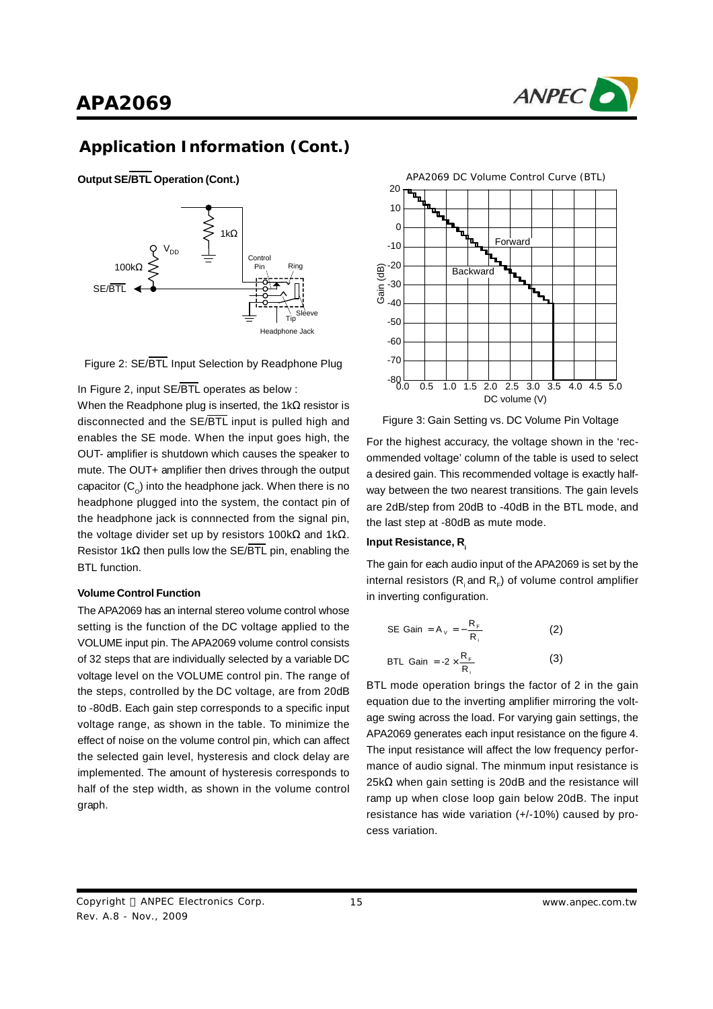



**Output SE/BTL Operation (Cont.)**





In Figure 2, input SE/BTL operates as below :

When the Readphone plug is inserted, the 1k $\Omega$  resistor is disconnected and the SE/BTL input is pulled high and enables the SE mode. When the input goes high, the OUT- amplifier is shutdown which causes the speaker to mute. The OUT+ amplifier then drives through the output capacitor (C<sub>o</sub>) into the headphone jack. When there is no headphone plugged into the system, the contact pin of the headphone jack is connnected from the signal pin, the voltage divider set up by resistors 100kΩ and 1kΩ. Resistor 1kΩ then pulls low the SE/BTL pin, enabling the BTL function.

#### **Volume Control Function**

The APA2069 has an internal stereo volume control whose setting is the function of the DC voltage applied to the VOLUME input pin. The APA2069 volume control consists of 32 steps that are individually selected by a variable DC voltage level on the VOLUME control pin. The range of the steps, controlled by the DC voltage, are from 20dB to -80dB. Each gain step corresponds to a specific input voltage range, as shown in the table. To minimize the effect of noise on the volume control pin, which can affect the selected gain level, hysteresis and clock delay are implemented. The amount of hysteresis corresponds to half of the step width, as shown in the volume control graph.



Figure 3: Gain Setting vs. DC Volume Pin Voltage

For the highest accuracy, the voltage shown in the 'recommended voltage'column of the table is used to select a desired gain. This recommended voltage is exactly halfway between the two nearest transitions. The gain levels are 2dB/step from 20dB to -40dB in the BTL mode, and the last step at -80dB as mute mode.

#### **Input Resistance, R<sup>i</sup>**

The gain for each audio input of the APA2069 is set by the internal resistors (R<sub>i</sub> and R<sub>F</sub>) of volume control amplifier in inverting configuration.

SE Gain = A<sub>v</sub> = 
$$
-\frac{R_F}{R_i}
$$
 (2)  
BTL Gain =  $-2 \times \frac{R_F}{R_i}$  (3)

BTL mode operation brings the factor of 2 in the gain equation due to the inverting amplifier mirroring the voltage swing across the load. For varying gain settings, the APA2069 generates each input resistance on the figure 4. The input resistance will affect the low frequency performance of audio signal. The minmum input resistance is  $25k\Omega$  when gain setting is 20dB and the resistance will ramp up when close loop gain below 20dB. The input resistance has wide variation (+/-10%) caused by process variation.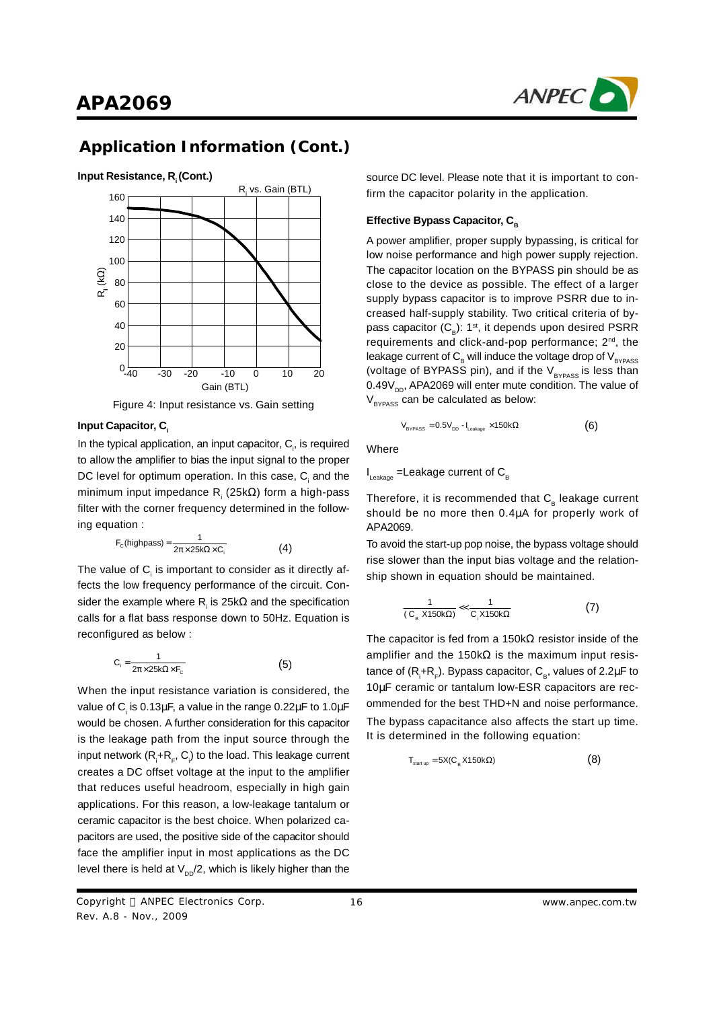



Figure 4: Input resistance vs. Gain setting

In the typical application, an input capacitor,  $C_i$ , is required to allow the amplifier to bias the input signal to the proper DC level for optimum operation. In this case,  $\mathsf{C}_i$  and the minimum input impedance R<sub>i</sub> (25kΩ) form a high-pass filter with the corner frequency determined in the following equation :

$$
F_{\rm C}(\text{highpass}) = \frac{1}{2\pi \times 25k\Omega \times C_{\rm i}}\tag{4}
$$

The value of  $\mathsf{C}_\mathsf{i}$  is important to consider as it directly affects the low frequency performance of the circuit. Consider the example where R<sub>i</sub> is 25k $\Omega$  and the specification calls for a flat bass response down to 50Hz. Equation is reconfigured as below :

$$
C_i = \frac{1}{2\pi \times 25k\Omega \times F_c}
$$
 (5)

When the input resistance variation is considered, the value of C<sub>i</sub> is 0.13μF, a value in the range 0.22μF to 1.0μF would be chosen. A further consideration for this capacitor is the leakage path from the input source through the input network (R $_i$ +R $_{\sf F}$ , C $_{\sf i}$ ) to the load. This leakage current creates a DC offset voltage at the input to the amplifier that reduces useful headroom, especially in high gain applications. For this reason, a low-leakage tantalum or ceramic capacitor is the best choice. When polarized capacitors are used, the positive side of the capacitor should face the amplifier input in most applications as the DC level there is held at  $\mathsf{V}_{\mathsf{DD}}\mathsf{/}2,$  which is likely higher than the

source DC level. Please note that it is important to confirm the capacitor polarity in the application.

#### **Effective Bypass Capacitor, C<sub>B</sub>**

A power amplifier, proper supply bypassing, is critical for low noise performance and high power supply rejection. The capacitor location on the BYPASS pin should be as close to the device as possible. The effect of a larger supply bypass capacitor is to improve PSRR due to increased half-supply stability. Two critical criteria of bypass capacitor (C<sub>B</sub>): 1st, it depends upon desired PSRR requirements and click-and-pop performance; 2<sup>nd</sup>, the leakage current of  $C_{\text{B}}$  will induce the voltage drop of  $V_{\text{BYPASS}}$ (voltage of BYPASS pin), and if the  $\rm V_{\rm \scriptscriptstyle BYPASS}$  is less than 0.49V<sub>DD</sub>, APA2069 will enter mute condition. The value of  $\rm V_{_{BYPASS}}$  can be calculated as below:

\n
$$
V_{\text{BYPASS}} = 0.5 V_{\text{DD}} - I_{\text{Lastage}} \times 150 \, \text{k}\Omega
$$
\n

\n\n (6)\n

Where

 $\mathsf{I}_{\mathsf{Leakage}}$  =Leakage current of  $\mathsf{C}_{\mathsf{B}}$ 

Therefore, it is recommended that  $\textsf{C}__{\text{\tiny B}}$  leakage current should be no more then 0.4μA for properly work of APA2069.

To avoid the start-up pop noise, the bypass voltage should rise slower than the input bias voltage and the relationship shown in equation should be maintained.

$$
\frac{1}{(C_{B} X150k\Omega)} \ll \frac{1}{C_{1} X150k\Omega} \tag{7}
$$

The capacitor is fed from a 150kΩ resistor inside of the amplifier and the 150kΩ is the maximum input resistance of (R<sub>i</sub>+R<sub>F</sub>). Bypass capacitor, C<sub>в</sub>, values of 2.2μF to 10μF ceramic or tantalum low-ESR capacitors are recommended for the best THD+N and noise performance. The bypass capacitance also affects the start up time. It is determined in the following equation:

$$
T_{\text{start up}} = 5X(C_{\text{B}} X150k\Omega) \tag{8}
$$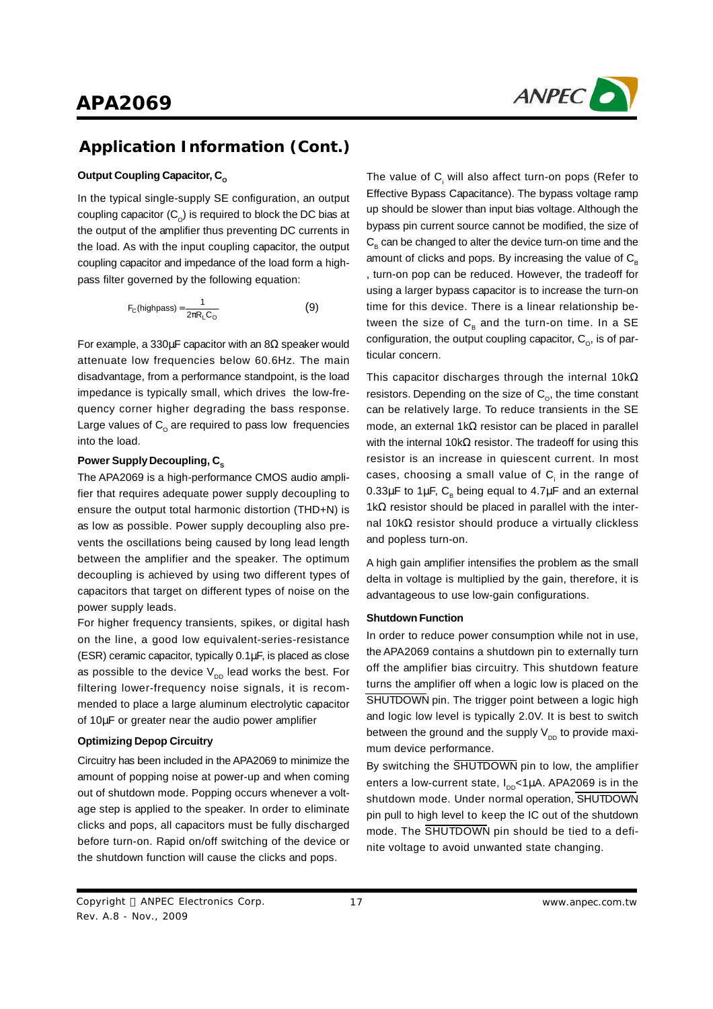

#### **Output Coupling Capacitor, C<sub>o</sub>**

In the typical single-supply SE configuration, an output coupling capacitor (C $_{\rm o}$ ) is required to block the DC bias at the output of the amplifier thus preventing DC currents in the load. As with the input coupling capacitor, the output coupling capacitor and impedance of the load form a highpass filter governed by the following equation:

$$
F_C(\text{highpass}) = \frac{1}{2\pi R_L C_0} \tag{9}
$$

For example, a 330 $\mu$ F capacitor with an 8 $\Omega$  speaker would attenuate low frequencies below 60.6Hz. The main disadvantage, from a performance standpoint, is the load impedance is typically small, which drives the low-frequency corner higher degrading the bass response. Large values of  $\mathtt{C}_\mathtt{o}$  are required to pass low frequencies into the load.

#### **Power Supply Decoupling, C<sub>S</sub>**

The APA2069 is a high-performance CMOS audio amplifier that requires adequate power supply decoupling to ensure the output total harmonic distortion (THD+N) is as low as possible. Power supply decoupling also prevents the oscillations being caused by long lead length between the amplifier and the speaker. The optimum decoupling is achieved by using two different types of capacitors that target on different types of noise on the power supply leads.

For higher frequency transients, spikes, or digital hash on the line, a good low equivalent-series-resistance (ESR) ceramic capacitor, typically 0.1μF, is placed as close as possible to the device  $\mathsf{V}_{_{\sf DD}}$  lead works the best. For filtering lower-frequency noise signals, it is recommended to place a large aluminum electrolytic capacitor of 10μF or greater near the audio power amplifier

#### **Optimizing Depop Circuitry**

Circuitry has been included in the APA2069 to minimize the amount of popping noise at power-up and when coming out of shutdown mode. Popping occurs whenever a voltage step is applied to the speaker. In order to eliminate clicks and pops, all capacitors must be fully discharged before turn-on. Rapid on/off switching of the device or the shutdown function will cause the clicks and pops.

The value of  $C_i$  will also affect turn-on pops (Refer to Effective Bypass Capacitance). The bypass voltage ramp up should be slower than input bias voltage. Although the bypass pin current source cannot be modified, the size of  $\mathsf{C}_\mathsf{B}$  can be changed to alter the device turn-on time and the amount of clicks and pops. By increasing the value of  $C<sub>n</sub>$ , turn-on pop can be reduced. However, the tradeoff for using a larger bypass capacitor is to increase the turn-on time for this device. There is a linear relationship between the size of  $\textsf{C}_\textsf{B}$  and the turn-on time. In a SE configuration, the output coupling capacitor,  $\mathsf{C}_{\mathsf{o}}$ , is of particular concern.

This capacitor discharges through the internal 10k $\Omega$ resistors. Depending on the size of  $\mathsf{C}_{\mathsf{o}}$ , the time constant can be relatively large. To reduce transients in the SE mode, an external 1kΩ resistor can be placed in parallel with the internal 10kΩ resistor. The tradeoff for using this resistor is an increase in quiescent current. In most cases, choosing a small value of  $\mathsf{C}_\mathsf{i}$  in the range of 0.33μF to 1μF,  $\textsf{C}_\textsf{\tiny B}$  being equal to 4.7μF and an external 1kΩ resistor should be placed in parallel with the internal 10kΩ resistor should produce a virtually clickless and popless turn-on.

A high gain amplifier intensifies the problem as the small delta in voltage is multiplied by the gain, therefore, it is advantageous to use low-gain configurations.

#### **Shutdown Function**

In order to reduce power consumption while not in use, the APA2069 contains a shutdown pin to externally turn off the amplifier bias circuitry. This shutdown feature turns the amplifier off when a logic low is placed on the SHUTDOWN pin. The trigger point between a logic high and logic low level is typically 2.0V. It is best to switch between the ground and the supply  $\bm{\mathsf{V}}_{_{\sf DD}}$  to provide maximum device performance.

By switching the SHUTDOWN pin to low, the amplifier enters a low-current state, I<sub>DD</sub><1μA. APA2069 is in the shutdown mode. Under normal operation, SHUTDOWN pin pull to high level to keep the IC out of the shutdown mode. The SHUTDOWN pin should be tied to a definite voltage to avoid unwanted state changing.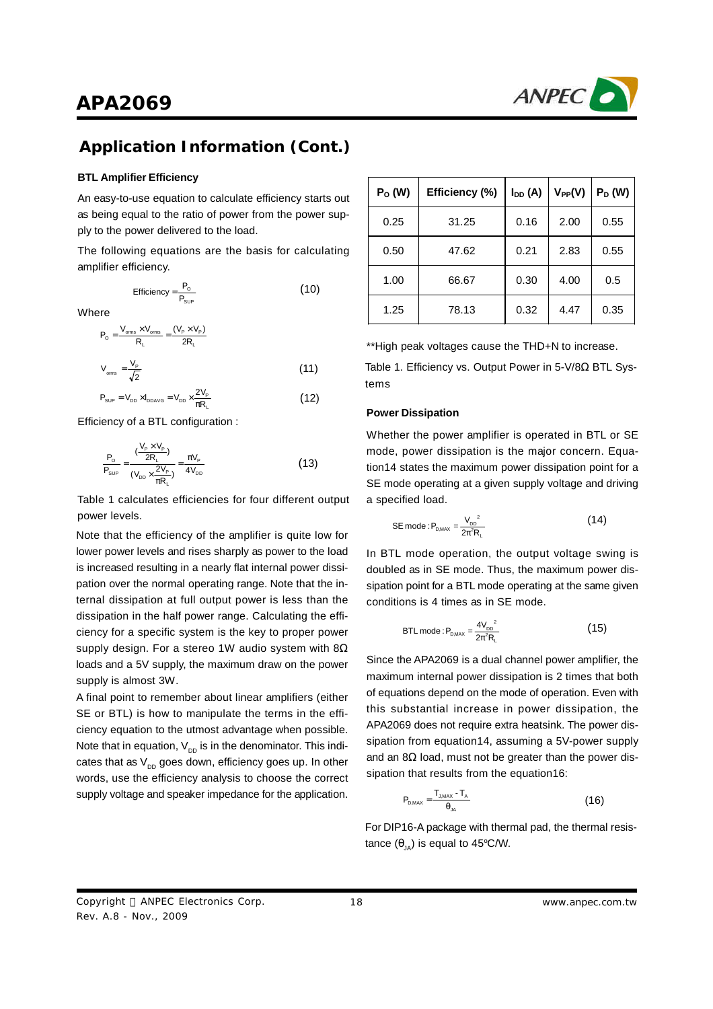

### **Application Information (Cont.)**

#### **BTL Amplifier Efficiency**

An easy-to-use equation to calculate efficiency starts out as being equal to the ratio of power from the power supply to the power delivered to the load.

The following equations are the basis for calculating amplifier efficiency.

$$
Efficiency = \frac{P_{\text{o}}}{P_{\text{sup}}} \tag{10}
$$

**Where** 

$$
P_o = \frac{V_{oms} \times V_{oms}}{R_L} = \frac{(V_P \times V_P)}{2R_L}
$$
  

$$
V_{oms} = \frac{V_P}{\sqrt{2}}
$$
 (11)

$$
P_{\text{sup}} = V_{\text{DD}} \times I_{\text{DDAVG}} = V_{\text{DD}} \times \frac{2V_{\text{P}}}{\pi R_{\text{L}}}
$$
(12)

Efficiency of a BTL configuration :

$$
\frac{P_{\rm o}}{P_{\rm sup}} = \frac{(\frac{V_{\rm p} \times V_{\rm p}}{2R_{\rm L}})}{(\frac{V_{\rm DD}}{2R_{\rm L}} \times \frac{2V_{\rm p}}{\pi R_{\rm L}})} = \frac{\pi V_{\rm p}}{4V_{\rm DD}}
$$
(13)

Table 1 calculates efficiencies for four different output power levels.

Note that the efficiency of the amplifier is quite low for lower power levels and rises sharply as power to the load is increased resulting in a nearly flat internal power dissipation over the normal operating range. Note that the internal dissipation at full output power is less than the dissipation in the half power range. Calculating the efficiency for a specific system is the key to proper power supply design. For a stereo 1W audio system with  $8\Omega$ loads and a 5V supply, the maximum draw on the power supply is almost 3W.

A final point to remember about linear amplifiers (either SE or BTL) is how to manipulate the terms in the efficiency equation to the utmost advantage when possible. Note that in equation,  $\mathsf{V}_{\mathsf{DD}}$  is in the denominator. This indicates that as  $\mathsf{V}_{_{\sf DD}}$  goes down, efficiency goes up. In other words, use the efficiency analysis to choose the correct supply voltage and speaker impedance for the application.

| $P_0(W)$ | Efficiency (%) | $I_{DD}(A)$ | $V_{PP}(V)$ | $P_D(W)$ |
|----------|----------------|-------------|-------------|----------|
| 0.25     | 31.25          | 0.16        | 2.00        | 0.55     |
| 0.50     | 47.62          | 0.21        | 2.83        | 0.55     |
| 1.00     | 66.67          | 0.30        | 4.00        | 0.5      |
| 1.25     | 78.13          | 0.32        | 4.47        | 0.35     |

\*\*High peak voltages cause the THD+N to increase.

Table 1. Efficiency vs. Output Power in 5-V/8Ω BTL Systems

#### **Power Dissipation**

Whether the power amplifier is operated in BTL or SE mode, power dissipation is the major concern. Equation14 states the maximum power dissipation point for a SE mode operating at a given supply voltage and driving a specified load.

SE mode : 
$$
P_{\text{D}_{\text{MAX}}} = \frac{V_{\text{DD}}^2}{2\pi^2 R_L}
$$
 (14)

In BTL mode operation, the output voltage swing is doubled as in SE mode. Thus, the maximum power dissipation point for a BTL mode operating at the same given conditions is 4 times as in SE mode.

BTL mode : 
$$
P_{\text{DMAX}} = \frac{4V_{\text{DD}}^2}{2\pi^2 R_L}
$$
 (15)

Since the APA2069 is a dual channel power amplifier, the maximum internal power dissipation is 2 times that both of equations depend on the mode of operation. Even with this substantial increase in power dissipation, the APA2069 does not require extra heatsink. The power dissipation from equation14, assuming a 5V-power supply and an  $8\Omega$  load, must not be greater than the power dissipation that results from the equation16:

$$
P_{\text{DMAX}} = \frac{T_{\text{JMAX}} - T_A}{\theta_{\text{JA}}} \tag{16}
$$

For DIP16-A package with thermal pad, the thermal resistance  $(\theta_{_{\text{JA}}})$  is equal to 45°C/W.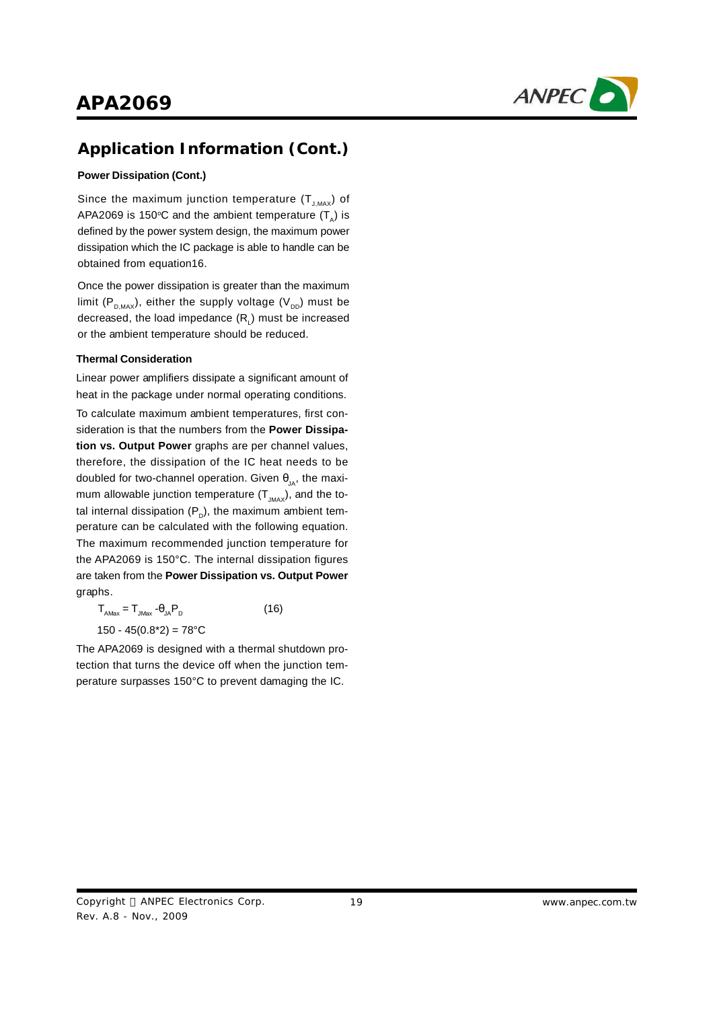

#### **Power Dissipation (Cont.)**

Since the maximum junction temperature  $(\textsf{T}_{_{\sf J,MAX}})$  of APA2069 is 150°C and the ambient temperature (T<sub>A</sub>) is defined by the power system design, the maximum power dissipation which the IC package is able to handle can be obtained from equation16.

Once the power dissipation is greater than the maximum limit (P $_{_{\text{D,MAX}}}$ ), either the supply voltage (V $_{_{\text{DD}}}$ ) must be decreased, the load impedance (R $_{\textrm{\tiny{l}}}$ ) must be increased or the ambient temperature should be reduced.

#### **Thermal Consideration**

Linear power amplifiers dissipate a significant amount of heat in the package under normal operating conditions.

To calculate maximum ambient temperatures, first consideration is that the numbers from the **Power Dissipation vs. Output Power** graphs are per channel values, therefore, the dissipation of the IC heat needs to be doubled for two-channel operation. Given  $\theta_{_{\text{JA}}},$  the maximum allowable junction temperature (T $_{_{\textrm{\tiny{JMAX}}}}$ ), and the total internal dissipation (P $_{\textrm{\tiny{\textup{D}}}}$ ), the maximum ambient temperature can be calculated with the following equation. The maximum recommended junction temperature for the APA2069 is 150°C. The internal dissipation figures are taken from the **Power Dissipation vs. Output Power** graphs.

 $T_{\text{AMax}} = T_{\text{JMax}} - \theta_{\text{JA}} P_{\text{D}}$ (16)  $150 - 45(0.8<sup>*</sup>2) = 78<sup>°</sup>C$ 

The APA2069 is designed with a thermal shutdown protection that turns the device off when the junction temperature surpasses 150°C to prevent damaging the IC.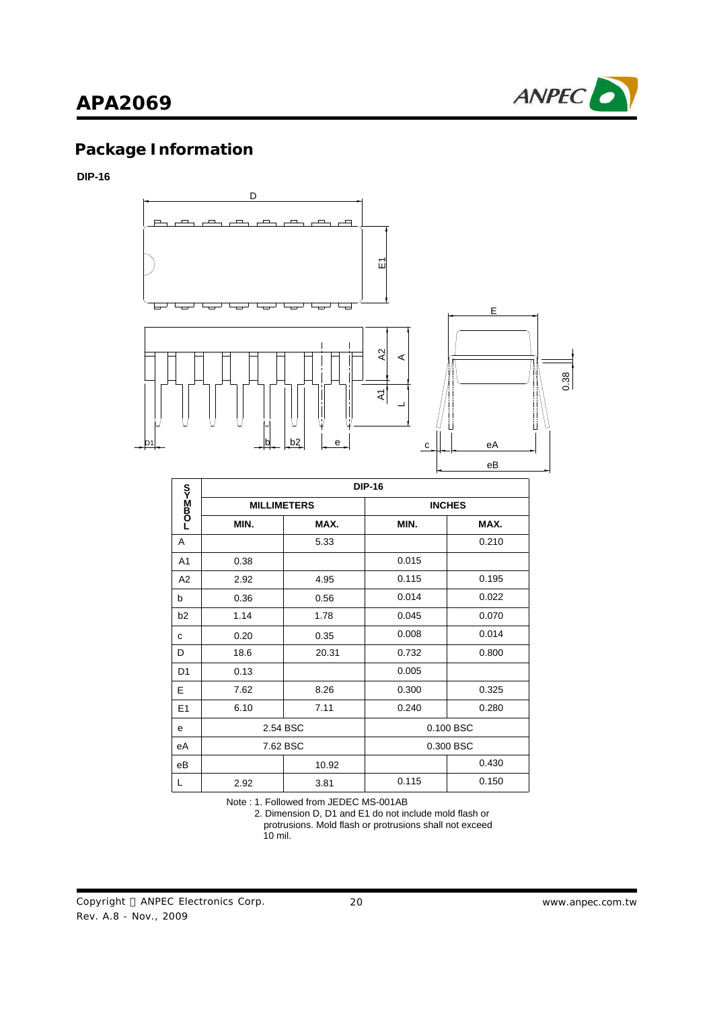

# **Package Information**

#### **DIP-16**



|                | <b>DIP-16</b>      |          |           |               |  |  |
|----------------|--------------------|----------|-----------|---------------|--|--|
| romM≺s         | <b>MILLIMETERS</b> |          |           | <b>INCHES</b> |  |  |
|                | MIN.               | MAX.     | MIN.      | MAX.          |  |  |
| A              |                    | 5.33     |           | 0.210         |  |  |
| A1             | 0.38               |          | 0.015     |               |  |  |
| A2             | 2.92               | 4.95     | 0.115     | 0.195         |  |  |
| b              | 0.36               | 0.56     | 0.014     | 0.022         |  |  |
| b2             | 1.14               | 1.78     | 0.045     | 0.070         |  |  |
| C              | 0.20               | 0.35     | 0.008     | 0.014         |  |  |
| D              | 18.6               | 20.31    | 0.732     | 0.800         |  |  |
| D <sub>1</sub> | 0.13               |          | 0.005     |               |  |  |
| E              | 7.62               | 8.26     | 0.300     | 0.325         |  |  |
| E1             | 6.10               | 7.11     | 0.240     | 0.280         |  |  |
| e              | 2.54 BSC           |          | 0.100 BSC |               |  |  |
| еA             |                    | 7.62 BSC |           | 0.300 BSC     |  |  |
| eB             |                    | 10.92    |           | 0.430         |  |  |
| L              | 2.92               | 3.81     | 0.115     | 0.150         |  |  |

Note : 1. Followed from JEDEC MS-001AB

 2. Dimension D, D1 and E1 do not include mold flash or protrusions. Mold flash or protrusions shall not exceed 10 mil.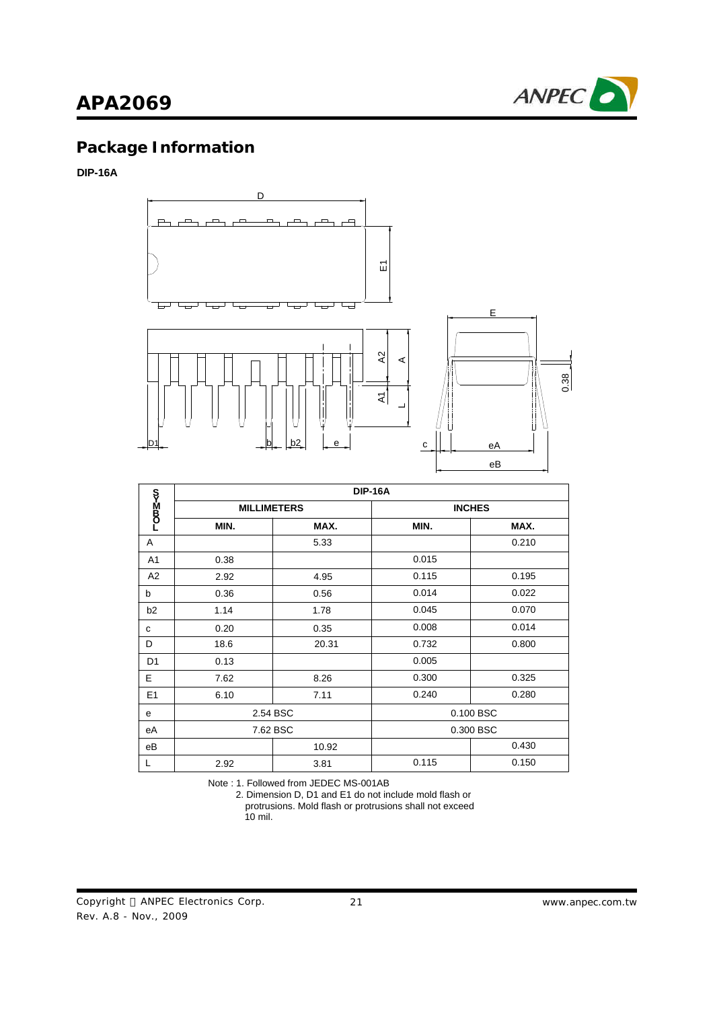

# **Package Information**

### **DIP-16A**



|                | <b>DIP-16A</b>     |       |               |       |  |
|----------------|--------------------|-------|---------------|-------|--|
| −0¤≧-<ഗ        | <b>MILLIMETERS</b> |       | <b>INCHES</b> |       |  |
|                | MIN.               | MAX.  | MIN.          | MAX.  |  |
| A              |                    | 5.33  |               | 0.210 |  |
| A <sub>1</sub> | 0.38               |       | 0.015         |       |  |
| A2             | 2.92               | 4.95  | 0.115         | 0.195 |  |
| b              | 0.36               | 0.56  | 0.014         | 0.022 |  |
| b <sub>2</sub> | 1.14               | 1.78  | 0.045         | 0.070 |  |
| с              | 0.20               | 0.35  | 0.008         | 0.014 |  |
| D              | 18.6               | 20.31 | 0.732         | 0.800 |  |
| D <sub>1</sub> | 0.13               |       | 0.005         |       |  |
| E              | 7.62               | 8.26  | 0.300         | 0.325 |  |
| E1             | 6.10               | 7.11  | 0.240         | 0.280 |  |
| e              | 2.54 BSC           |       | 0.100 BSC     |       |  |
| еA             | 7.62 BSC           |       | 0.300 BSC     |       |  |
| еB             |                    | 10.92 |               | 0.430 |  |
| L              | 2.92               | 3.81  | 0.115         | 0.150 |  |

Note : 1. Followed from JEDEC MS-001AB

 2. Dimension D, D1 and E1 do not include mold flash or protrusions. Mold flash or protrusions shall not exceed 10 mil.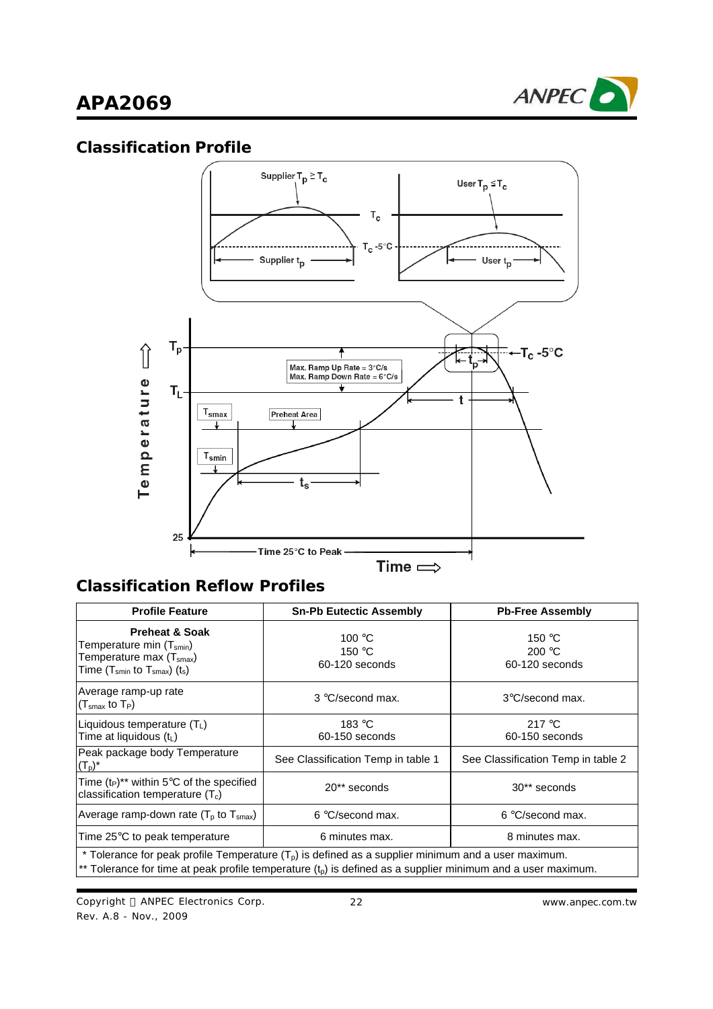

## **Classification Profile**



# **Classification Reflow Profiles**

| <b>Profile Feature</b>                                                                                                                                                                                                 | <b>Sn-Pb Eutectic Assembly</b>              | <b>Pb-Free Assembly</b>                              |  |  |
|------------------------------------------------------------------------------------------------------------------------------------------------------------------------------------------------------------------------|---------------------------------------------|------------------------------------------------------|--|--|
| <b>Preheat &amp; Soak</b><br>Temperature min (T <sub>smin</sub> )<br>Temperature max (T <sub>smax</sub> )<br>Time $(T_{smin}$ to $T_{smax}$ ) $(t_s)$                                                                  | 100 °C<br>150 $\degree$ C<br>60-120 seconds | 150 $\degree$ C<br>200 $\degree$ C<br>60-120 seconds |  |  |
| Average ramp-up rate<br>$\left({\mathsf T}_{\mathsf{smax}}\ {\mathsf{to}}\ {\mathsf T}_{\mathsf P}\right)$                                                                                                             | 3 °C/second max.                            | 3°C/second max.                                      |  |  |
| Liquidous temperature $(T_L)$<br>Time at liquidous (t <sub>L</sub> )                                                                                                                                                   | 183 $\degree$ C<br>60-150 seconds           | 217 $\degree$ C<br>60-150 seconds                    |  |  |
| Peak package body Temperature<br>$(T_p)^*$                                                                                                                                                                             | See Classification Temp in table 1          | See Classification Temp in table 2                   |  |  |
| Time $(t_P)^{**}$ within 5°C of the specified<br>classification temperature $(T_c)$                                                                                                                                    | 20** seconds                                | 30** seconds                                         |  |  |
| Average ramp-down rate ( $Tp$ to $Tsmax$ )                                                                                                                                                                             | 6 °C/second max.                            | 6 °C/second max.                                     |  |  |
| Time 25°C to peak temperature                                                                                                                                                                                          | 6 minutes max.                              | 8 minutes max.                                       |  |  |
| * Tolerance for peak profile Temperature $(Tp)$ is defined as a supplier minimum and a user maximum.<br>** Tolerance for time at peak profile temperature $(t_p)$ is defined as a supplier minimum and a user maximum. |                                             |                                                      |  |  |

Copyright © ANPEC Electronics Corp. Rev. A.8 - Nov., 2009